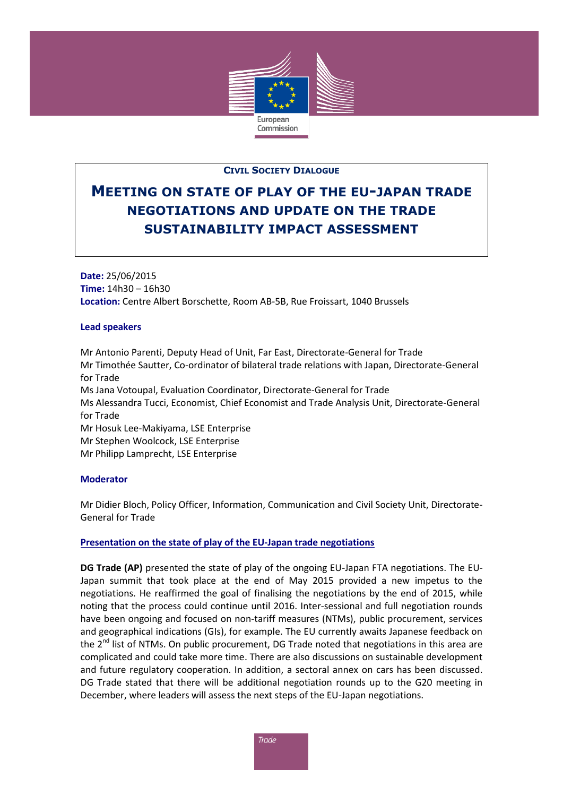

# **CIVIL SOCIETY DIALOGUE**

# **MEETING ON STATE OF PLAY OF THE EU-JAPAN TRADE NEGOTIATIONS AND UPDATE ON THE TRADE SUSTAINABILITY IMPACT ASSESSMENT**

**Date:** 25/06/2015 **Time:** 14h30 – 16h30 **Location:** Centre Albert Borschette, Room AB-5B, Rue Froissart, 1040 Brussels

#### **Lead speakers**

Mr Antonio Parenti, Deputy Head of Unit, Far East, Directorate-General for Trade Mr Timothée Sautter, Co-ordinator of bilateral trade relations with Japan, Directorate-General for Trade Ms Jana Votoupal, Evaluation Coordinator, Directorate-General for Trade Ms Alessandra Tucci, Economist, Chief Economist and Trade Analysis Unit, Directorate-General for Trade Mr Hosuk Lee-Makiyama, LSE Enterprise Mr Stephen Woolcock, LSE Enterprise Mr Philipp Lamprecht, LSE Enterprise

## **Moderator**

Mr Didier Bloch, Policy Officer, Information, Communication and Civil Society Unit, Directorate-General for Trade

## **Presentation on the state of play of the EU-Japan trade negotiations**

**DG Trade (AP)** presented the state of play of the ongoing EU-Japan FTA negotiations. The EU-Japan summit that took place at the end of May 2015 provided a new impetus to the negotiations. He reaffirmed the goal of finalising the negotiations by the end of 2015, while noting that the process could continue until 2016. Inter-sessional and full negotiation rounds have been ongoing and focused on non-tariff measures (NTMs), public procurement, services and geographical indications (GIs), for example. The EU currently awaits Japanese feedback on the  $2<sup>nd</sup>$  list of NTMs. On public procurement, DG Trade noted that negotiations in this area are complicated and could take more time. There are also discussions on sustainable development and future regulatory cooperation. In addition, a sectoral annex on cars has been discussed. DG Trade stated that there will be additional negotiation rounds up to the G20 meeting in December, where leaders will assess the next steps of the EU-Japan negotiations.

Trade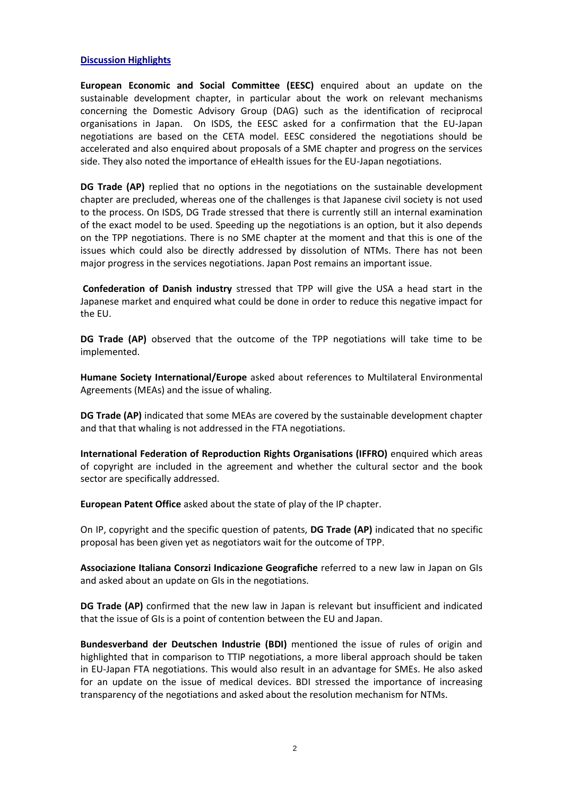#### **Discussion Highlights**

**European Economic and Social Committee (EESC)** enquired about an update on the sustainable development chapter, in particular about the work on relevant mechanisms concerning the Domestic Advisory Group (DAG) such as the identification of reciprocal organisations in Japan. On ISDS, the EESC asked for a confirmation that the EU-Japan negotiations are based on the CETA model. EESC considered the negotiations should be accelerated and also enquired about proposals of a SME chapter and progress on the services side. They also noted the importance of eHealth issues for the EU-Japan negotiations.

**DG Trade (AP)** replied that no options in the negotiations on the sustainable development chapter are precluded, whereas one of the challenges is that Japanese civil society is not used to the process. On ISDS, DG Trade stressed that there is currently still an internal examination of the exact model to be used. Speeding up the negotiations is an option, but it also depends on the TPP negotiations. There is no SME chapter at the moment and that this is one of the issues which could also be directly addressed by dissolution of NTMs. There has not been major progress in the services negotiations. Japan Post remains an important issue.

**Confederation of Danish industry** stressed that TPP will give the USA a head start in the Japanese market and enquired what could be done in order to reduce this negative impact for the EU.

**DG Trade (AP)** observed that the outcome of the TPP negotiations will take time to be implemented.

**Humane Society International/Europe** asked about references to Multilateral Environmental Agreements (MEAs) and the issue of whaling.

**DG Trade (AP)** indicated that some MEAs are covered by the sustainable development chapter and that that whaling is not addressed in the FTA negotiations.

**International Federation of Reproduction Rights Organisations (IFFRO)** enquired which areas of copyright are included in the agreement and whether the cultural sector and the book sector are specifically addressed.

**European Patent Office** asked about the state of play of the IP chapter.

On IP, copyright and the specific question of patents, **DG Trade (AP)** indicated that no specific proposal has been given yet as negotiators wait for the outcome of TPP.

**Associazione Italiana Consorzi Indicazione Geografiche** referred to a new law in Japan on GIs and asked about an update on GIs in the negotiations.

**DG Trade (AP)** confirmed that the new law in Japan is relevant but insufficient and indicated that the issue of GIs is a point of contention between the EU and Japan.

**Bundesverband der Deutschen Industrie (BDI)** mentioned the issue of rules of origin and highlighted that in comparison to TTIP negotiations, a more liberal approach should be taken in EU-Japan FTA negotiations. This would also result in an advantage for SMEs. He also asked for an update on the issue of medical devices. BDI stressed the importance of increasing transparency of the negotiations and asked about the resolution mechanism for NTMs.